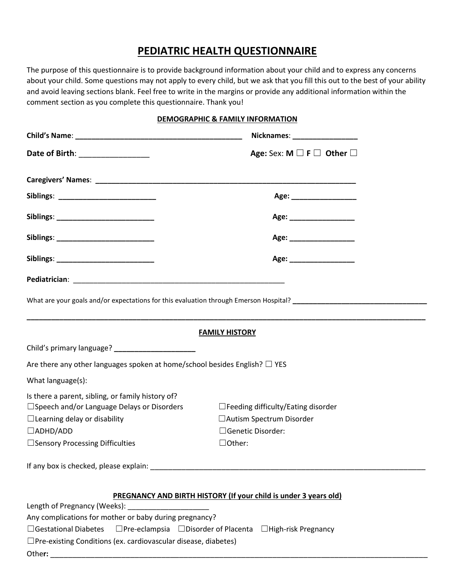# **PEDIATRIC HEALTH QUESTIONNAIRE**

The purpose of this questionnaire is to provide background information about your child and to express any concerns about your child. Some questions may not apply to every child, but we ask that you fill this out to the best of your ability and avoid leaving sections blank. Feel free to write in the margins or provide any additional information within the comment section as you complete this questionnaire. Thank you!

## **DEMOGRAPHIC & FAMILY INFORMATION**

|                                                                                                   | Nicknames: __________________                                    |  |  |
|---------------------------------------------------------------------------------------------------|------------------------------------------------------------------|--|--|
| Date of Birth: _________________                                                                  | Age: Sex: M $\square$ F $\square$ Other $\square$                |  |  |
|                                                                                                   |                                                                  |  |  |
|                                                                                                   |                                                                  |  |  |
|                                                                                                   | Age: ____________________                                        |  |  |
|                                                                                                   |                                                                  |  |  |
|                                                                                                   |                                                                  |  |  |
|                                                                                                   | Age: ____________________                                        |  |  |
|                                                                                                   |                                                                  |  |  |
|                                                                                                   |                                                                  |  |  |
|                                                                                                   | <b>FAMILY HISTORY</b>                                            |  |  |
| Child's primary language? ______________________                                                  |                                                                  |  |  |
| Are there any other languages spoken at home/school besides English? $\Box$ YES                   |                                                                  |  |  |
| What language(s):                                                                                 |                                                                  |  |  |
| Is there a parent, sibling, or family history of?<br>□ Speech and/or Language Delays or Disorders | $\Box$ Feeding difficulty/Eating disorder                        |  |  |
| $\Box$ Learning delay or disability                                                               | □ Autism Spectrum Disorder                                       |  |  |
| $\Box$ ADHD/ADD                                                                                   | □Genetic Disorder:                                               |  |  |
| □ Sensory Processing Difficulties                                                                 | $\Box$ Other:                                                    |  |  |
|                                                                                                   |                                                                  |  |  |
|                                                                                                   | PREGNANCY AND BIRTH HISTORY (If your child is under 3 years old) |  |  |
|                                                                                                   |                                                                  |  |  |

Any complications for mother or baby during pregnancy?

☐Gestational Diabetes ☐Pre-eclampsia ☐Disorder of Placenta ☐High-risk Pregnancy

- ☐Pre-existing Conditions (ex. cardiovascular disease, diabetes)
- Othe**r:** \_\_\_\_\_\_\_\_\_\_\_\_\_\_\_\_\_\_\_\_\_\_\_\_\_\_\_\_\_\_\_\_\_\_\_\_\_\_\_\_\_\_\_\_\_\_\_\_\_\_\_\_\_\_\_\_\_\_\_\_\_\_\_\_\_\_\_\_\_\_\_\_\_\_\_\_\_\_\_\_\_\_\_\_\_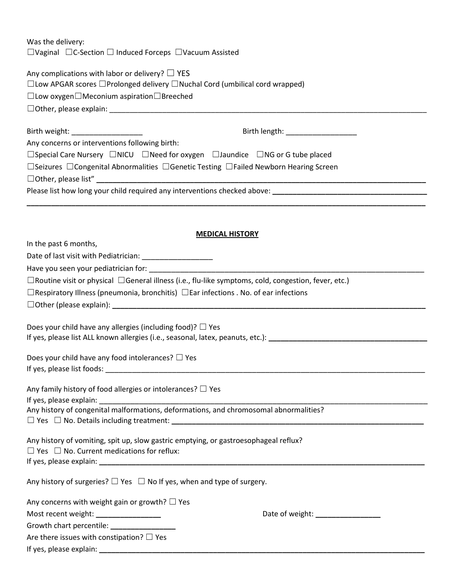Was the delivery: ☐Vaginal ☐C-Section ☐ Induced Forceps ☐Vacuum Assisted

Any complications with labor or delivery?  $\Box$  YES

☐Low APGAR scores ☐Prolonged delivery ☐Nuchal Cord (umbilical cord wrapped)

☐Low oxygen☐Meconium aspiration☐Breeched

☐Other, please explain: \_\_\_\_\_\_\_\_\_\_\_\_\_\_\_\_\_\_\_\_\_\_\_\_\_\_\_\_\_\_\_\_\_\_\_\_\_\_\_\_\_\_\_\_\_\_\_\_\_\_\_\_\_\_\_\_\_\_\_\_\_\_\_\_\_\_\_\_\_\_\_\_\_\_\_\_\_\_

| Birth weight: ____________________                                                                          | Birth length: ____________________                                                                        |  |
|-------------------------------------------------------------------------------------------------------------|-----------------------------------------------------------------------------------------------------------|--|
| Any concerns or interventions following birth:                                                              |                                                                                                           |  |
|                                                                                                             | $\Box$ Special Care Nursery $\Box$ NICU $\Box$ Need for oxygen $\Box$ Jaundice $\Box$ NG or G tube placed |  |
| $\Box$ Seizures $\Box$ Congenital Abnormalities $\Box$ Genetic Testing $\Box$ Failed Newborn Hearing Screen |                                                                                                           |  |
|                                                                                                             |                                                                                                           |  |
| Please list how long your child required any interventions checked above:                                   |                                                                                                           |  |
|                                                                                                             |                                                                                                           |  |

#### **MEDICAL HISTORY**

| In the past 6 months,                                                                                            |  |  |
|------------------------------------------------------------------------------------------------------------------|--|--|
| Date of last visit with Pediatrician: ______________________                                                     |  |  |
| Have you seen your pediatrician for: example and a set of the set of the set of the set of the set of the set o  |  |  |
| $\Box$ Routine visit or physical $\Box$ General illness (i.e., flu-like symptoms, cold, congestion, fever, etc.) |  |  |
| $\Box$ Respiratory Illness (pneumonia, bronchitis) $\Box$ Ear infections . No. of ear infections                 |  |  |
|                                                                                                                  |  |  |
|                                                                                                                  |  |  |
| Does your child have any allergies (including food)? $\Box$ Yes                                                  |  |  |
|                                                                                                                  |  |  |
| Does your child have any food intolerances? $\Box$ Yes                                                           |  |  |
|                                                                                                                  |  |  |
|                                                                                                                  |  |  |
| Any family history of food allergies or intolerances? $\Box$ Yes                                                 |  |  |
|                                                                                                                  |  |  |
| Any history of congenital malformations, deformations, and chromosomal abnormalities?                            |  |  |
|                                                                                                                  |  |  |
| Any history of vomiting, spit up, slow gastric emptying, or gastroesophageal reflux?                             |  |  |
| $\Box$ Yes $\Box$ No. Current medications for reflux:                                                            |  |  |
|                                                                                                                  |  |  |
|                                                                                                                  |  |  |
| Any history of surgeries? $\Box$ Yes $\Box$ No If yes, when and type of surgery.                                 |  |  |
| Any concerns with weight gain or growth? $\Box$ Yes                                                              |  |  |
| Date of weight: ________________<br>Most recent weight: ___________________                                      |  |  |
| Growth chart percentile: ________________                                                                        |  |  |
| Are there issues with constipation? $\Box$ Yes                                                                   |  |  |
|                                                                                                                  |  |  |
|                                                                                                                  |  |  |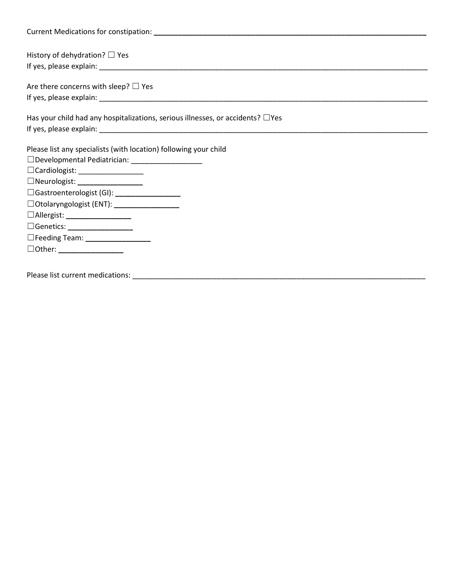| History of dehydration? $\Box$ Yes                                                   |
|--------------------------------------------------------------------------------------|
|                                                                                      |
| Are there concerns with sleep? $\Box$ Yes                                            |
|                                                                                      |
| Has your child had any hospitalizations, serious illnesses, or accidents? $\Box$ Yes |
|                                                                                      |
| Please list any specialists (with location) following your child                     |
| □Developmental Pediatrician: __________________                                      |
|                                                                                      |
| □Neurologist: __________________                                                     |
| □Gastroenterologist (GI): __________________                                         |
| □ Otolaryngologist (ENT): _________________                                          |
| □Allergist: _____________________                                                    |
| □Genetics: ___________________                                                       |
| □Feeding Team: __________________                                                    |
|                                                                                      |
|                                                                                      |

Please list current medications: \_\_\_\_\_\_\_\_\_\_\_\_\_\_\_\_\_\_\_\_\_\_\_\_\_\_\_\_\_\_\_\_\_\_\_\_\_\_\_\_\_\_\_\_\_\_\_\_\_\_\_\_\_\_\_\_\_\_\_\_\_\_\_\_\_\_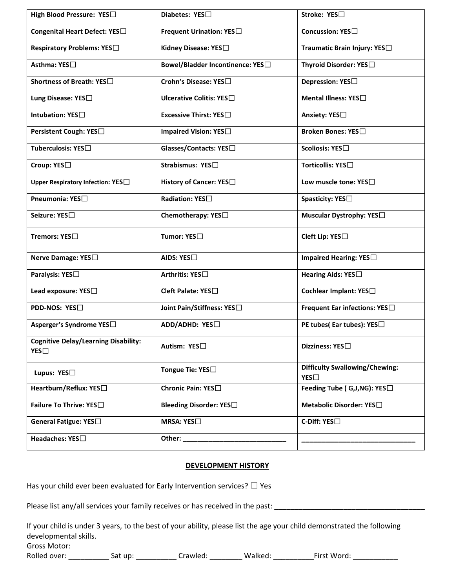| High Blood Pressure: YES                           | Diabetes: YES□                   | Stroke: YES□                                 |
|----------------------------------------------------|----------------------------------|----------------------------------------------|
| Congenital Heart Defect: YES <sup>[]</sup>         | Frequent Urination: YES□         | Concussion: YES□                             |
| Respiratory Problems: YES□                         | Kidney Disease: YES□             | Traumatic Brain Injury: YES□                 |
| Asthma: YES□                                       | Bowel/Bladder Incontinence: YES□ | Thyroid Disorder: YES□                       |
| Shortness of Breath: YES□                          | Crohn's Disease: YES□            | <b>Depression: YES</b> □                     |
| Lung Disease: YES□                                 | Ulcerative Colitis: YES□         | Mental Illness: YES□                         |
| Intubation: YES <sup>[]</sup>                      | Excessive Thirst: YES□           | Anxiety: YES□                                |
| Persistent Cough: YES□                             | Impaired Vision: YES             | <b>Broken Bones: YES</b> □                   |
| Tuberculosis: YES□                                 | Glasses/Contacts: YES□           | Scoliosis: YES□                              |
| Croup: YES□                                        | Strabismus: YES□                 | Torticollis: YES□                            |
| Upper Respiratory Infection: YES <sup>[]</sup>     | History of Cancer: YES□          | Low muscle tone: YES□                        |
| Pneumonia: YES <sup>[]</sup>                       | <b>Radiation: YES</b> □          | Spasticity: YES□                             |
| Seizure: YES□                                      | Chemotherapy: YES□               | Muscular Dystrophy: YES□                     |
| Tremors: YES□                                      | Tumor: YES□                      | Cleft Lip: YES□                              |
| Nerve Damage: YES□                                 | AIDS: YES $\square$              | Impaired Hearing: YES                        |
| Paralysis: YES□                                    | Arthritis: YES□                  | Hearing Aids: YES <sup>[]</sup>              |
| Lead exposure: YES□                                | Cleft Palate: YES□               | Cochlear Implant: YES□                       |
| PDD-NOS: YES□                                      | Joint Pain/Stiffness: YES□       | Frequent Ear infections: YES <sup>[]</sup>   |
| Asperger's Syndrome YES□                           | ADD/ADHD: YES□                   | PE tubes(Ear tubes): YES□                    |
| <b>Cognitive Delay/Learning Disability:</b><br>YES | Autism: YES□                     | Dizziness: YES□                              |
| Lupus: YES□                                        | Tongue Tie: YES $\square$        | <b>Difficulty Swallowing/Chewing:</b><br>YES |
| Heartburn/Reflux: YES□                             | Chronic Pain: YES□               | Feeding Tube ( $G,J,NG$ ): YES $\Box$        |
| Failure To Thrive: YES□                            | Bleeding Disorder: YES□          | Metabolic Disorder: YES□                     |
| General Fatigue: YES□                              | <b>MRSA: YES</b> □               | C-Diff: YES□                                 |
| Headaches: YES□                                    | Other: $\_\_$                    |                                              |

#### **DEVELOPMENT HISTORY**

Has your child ever been evaluated for Early Intervention services?  $\Box$  Yes

Please list any/all services your family receives or has received in the past: \_\_\_\_\_\_\_\_\_\_\_\_\_\_\_\_\_\_\_\_\_\_\_\_\_\_\_\_\_\_\_

If your child is under 3 years, to the best of your ability, please list the age your child demonstrated the following developmental skills.

Gross Motor:

Rolled over: \_\_\_\_\_\_\_\_\_\_\_\_ Sat up: \_\_\_\_\_\_\_\_\_\_\_\_\_ Crawled: \_\_\_\_\_\_\_\_\_\_ Walked: \_\_\_\_\_\_\_\_\_\_\_\_\_First Word: \_\_\_\_\_\_\_\_\_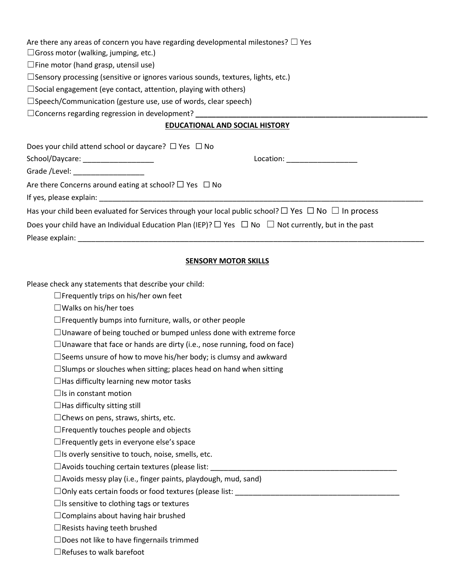Are there any areas of concern you have regarding developmental milestones?  $\Box$  Yes

 $\Box$ Gross motor (walking, jumping, etc.)

 $\square$  Fine motor (hand grasp, utensil use)

 $\Box$ Sensory processing (sensitive or ignores various sounds, textures, lights, etc.)

 $\square$ Social engagement (eye contact, attention, playing with others)

☐Speech/Communication (gesture use, use of words, clear speech)

□ Concerns regarding regression in development?

## **EDUCATIONAL AND SOCIAL HISTORY**

| Does your child attend school or daycare? $\Box$ Yes $\Box$ No                                                      |           |  |  |
|---------------------------------------------------------------------------------------------------------------------|-----------|--|--|
| School/Daycare: ____________________                                                                                | Location: |  |  |
| Grade /Level: ____________________                                                                                  |           |  |  |
| Are there Concerns around eating at school? $\Box$ Yes $\Box$ No                                                    |           |  |  |
| If yes, please explain: If yes, please explain:                                                                     |           |  |  |
| Has your child been evaluated for Services through your local public school? $\Box$ Yes $\Box$ No $\Box$ In process |           |  |  |
| Does your child have an Individual Education Plan (IEP)? $\Box$ Yes $\Box$ No $\Box$ Not currently, but in the past |           |  |  |
| Please explain:                                                                                                     |           |  |  |

## **SENSORY MOTOR SKILLS**

Please check any statements that describe your child:

- ☐Frequently trips on his/her own feet
- ☐Walks on his/her toes

 $\Box$  Frequently bumps into furniture, walls, or other people

 $\Box$ Unaware of being touched or bumped unless done with extreme force

 $\Box$ Unaware that face or hands are dirty (i.e., nose running, food on face)

 $\square$  Seems unsure of how to move his/her body; is clumsy and awkward

 $\square$ Slumps or slouches when sitting; places head on hand when sitting

 $\Box$ Has difficulty learning new motor tasks

 $\Box$ Is in constant motion

 $\Box$ Has difficulty sitting still

□Chews on pens, straws, shirts, etc.

 $\Box$  Frequently touches people and objects

 $\Box$  Frequently gets in everyone else's space

 $\Box$ Is overly sensitive to touch, noise, smells, etc.

 $\Box$  Avoids touching certain textures (please list:

 $\Box$ Avoids messy play (i.e., finger paints, playdough, mud, sand)

 $\Box$  Only eats certain foods or food textures (please list:

 $\Box$ Is sensitive to clothing tags or textures

 $\Box$ Complains about having hair brushed

 $\Box$ Resists having teeth brushed

☐Does not like to have fingernails trimmed

☐Refuses to walk barefoot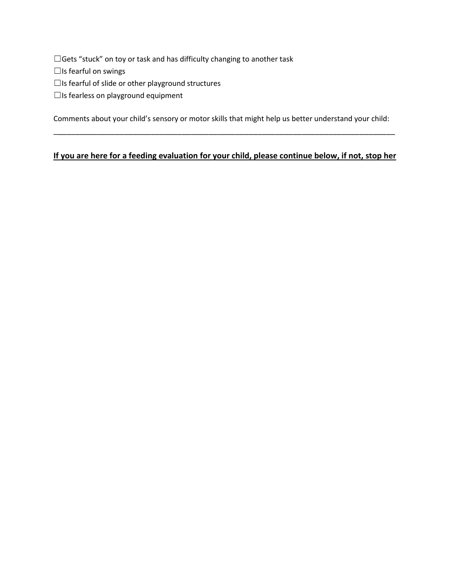□Gets "stuck" on toy or task and has difficulty changing to another task

 $\Box$ Is fearful on swings

 $\Box$ Is fearful of slide or other playground structures

☐Is fearless on playground equipment

Comments about your child's sensory or motor skills that might help us better understand your child: \_\_\_\_\_\_\_\_\_\_\_\_\_\_\_\_\_\_\_\_\_\_\_\_\_\_\_\_\_\_\_\_\_\_\_\_\_\_\_\_\_\_\_\_\_\_\_\_\_\_\_\_\_\_\_\_\_\_\_\_\_\_\_\_\_\_\_\_\_\_\_\_\_\_\_\_\_

# **If you are here for a feeding evaluation for your child, please continue below, if not, stop her**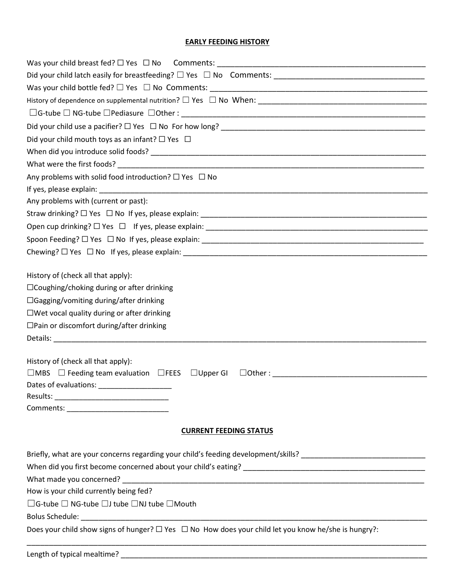## **EARLY FEEDING HISTORY**

| Did your child mouth toys as an infant? $\Box$ Yes $\Box$                                                      |
|----------------------------------------------------------------------------------------------------------------|
|                                                                                                                |
|                                                                                                                |
| Any problems with solid food introduction? $\square$ Yes $\square$ No                                          |
|                                                                                                                |
| Any problems with (current or past):                                                                           |
|                                                                                                                |
|                                                                                                                |
|                                                                                                                |
|                                                                                                                |
|                                                                                                                |
| History of (check all that apply):                                                                             |
| $\Box$ Coughing/choking during or after drinking                                                               |
| $\Box$ Gagging/vomiting during/after drinking                                                                  |
| $\square$ Wet vocal quality during or after drinking                                                           |
| $\Box$ Pain or discomfort during/after drinking                                                                |
|                                                                                                                |
| History of (check all that apply):                                                                             |
| $\Box$ MBS $\Box$ Feeding team evaluation $\Box$ FEES $\Box$ Upper GI                                          |
|                                                                                                                |
|                                                                                                                |
|                                                                                                                |
|                                                                                                                |
| <b>CURRENT FEEDING STATUS</b>                                                                                  |
| Briefly, what are your concerns regarding your child's feeding development/skills? ___________________________ |
|                                                                                                                |
|                                                                                                                |
| How is your child currently being fed?                                                                         |
| $\Box$ G-tube $\Box$ NG-tube $\Box$ J tube $\Box$ NJ tube $\Box$ Mouth                                         |
|                                                                                                                |
| Does your child show signs of hunger? $\Box$ Yes $\Box$ No How does your child let you know he/she is hungry?: |
|                                                                                                                |
|                                                                                                                |